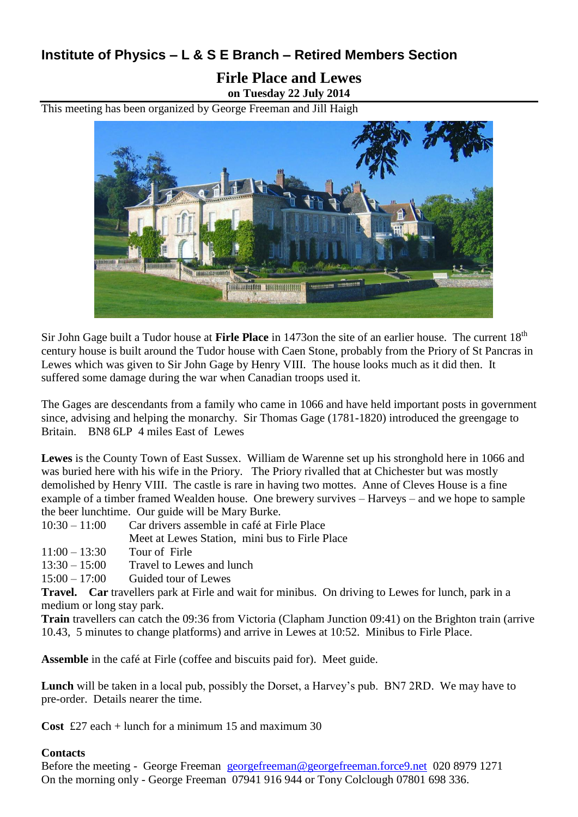## **Institute of Physics – L & S E Branch – Retired Members Section**

## **Firle Place and Lewes on Tuesday 22 July 2014**

This meeting has been organized by George Freeman and Jill Haigh



Sir John Gage built a Tudor house at **Firle Place** in 1473on the site of an earlier house. The current 18<sup>th</sup> century house is built around the Tudor house with Caen Stone, probably from the Priory of St Pancras in Lewes which was given to Sir John Gage by Henry VIII. The house looks much as it did then. It suffered some damage during the war when Canadian troops used it.

The Gages are descendants from a family who came in 1066 and have held important posts in government since, advising and helping the monarchy. Sir Thomas Gage (1781-1820) introduced the greengage to Britain. BN8 6LP 4 miles East of Lewes

**Lewes** is the County Town of East Sussex. William de Warenne set up his stronghold here in 1066 and was buried here with his wife in the Priory. The Priory rivalled that at Chichester but was mostly demolished by Henry VIII. The castle is rare in having two mottes. Anne of Cleves House is a fine example of a timber framed Wealden house. One brewery survives – Harveys – and we hope to sample the beer lunchtime. Our guide will be Mary Burke.

- 10:30 11:00 Car drivers assemble in café at Firle Place
	- Meet at Lewes Station, mini bus to Firle Place
- 11:00 13:30 Tour of Firle
- $13:30 15:00$  Travel to Lewes and lunch
- 15:00 17:00 Guided tour of Lewes

**Travel. Car** travellers park at Firle and wait for minibus. On driving to Lewes for lunch, park in a medium or long stay park.

**Train** travellers can catch the 09:36 from Victoria (Clapham Junction 09:41) on the Brighton train (arrive 10.43, 5 minutes to change platforms) and arrive in Lewes at 10:52. Minibus to Firle Place.

**Assemble** in the café at Firle (coffee and biscuits paid for). Meet guide.

**Lunch** will be taken in a local pub, possibly the Dorset, a Harvey's pub. BN7 2RD. We may have to pre-order. Details nearer the time.

**Cost** £27 each + lunch for a minimum 15 and maximum 30

## **Contacts**

Before the meeting - George Freeman [georgefreeman@georgefreeman.force9.net](mailto:georgefreeman@georgefreeman.force9.net) 020 8979 1271 On the morning only - George Freeman 07941 916 944 or Tony Colclough 07801 698 336.